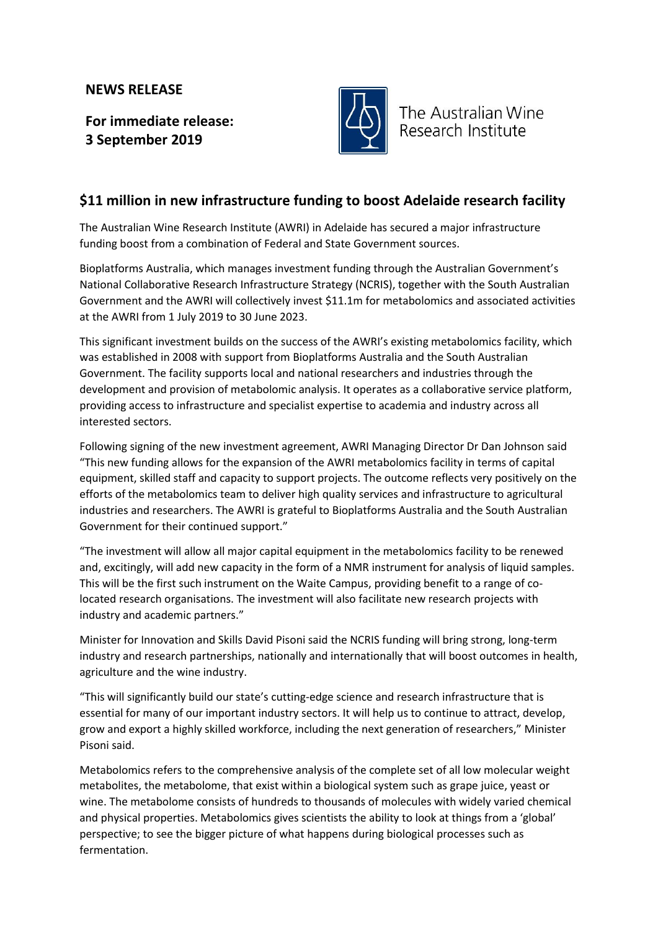## **NEWS RELEASE**

**For immediate release: 3 September 2019**



The Australian Wine Research Institute

## **\$11 million in new infrastructure funding to boost Adelaide research facility**

The Australian Wine Research Institute (AWRI) in Adelaide has secured a major infrastructure funding boost from a combination of Federal and State Government sources.

Bioplatforms Australia, which manages investment funding through the Australian Government's National Collaborative Research Infrastructure Strategy (NCRIS), together with the South Australian Government and the AWRI will collectively invest \$11.1m for metabolomics and associated activities at the AWRI from 1 July 2019 to 30 June 2023.

This significant investment builds on the success of the AWRI's existing metabolomics facility, which was established in 2008 with support from Bioplatforms Australia and the South Australian Government. The facility supports local and national researchers and industries through the development and provision of metabolomic analysis. It operates as a collaborative service platform, providing access to infrastructure and specialist expertise to academia and industry across all interested sectors.

Following signing of the new investment agreement, AWRI Managing Director Dr Dan Johnson said "This new funding allows for the expansion of the AWRI metabolomics facility in terms of capital equipment, skilled staff and capacity to support projects. The outcome reflects very positively on the efforts of the metabolomics team to deliver high quality services and infrastructure to agricultural industries and researchers. The AWRI is grateful to Bioplatforms Australia and the South Australian Government for their continued support."

"The investment will allow all major capital equipment in the metabolomics facility to be renewed and, excitingly, will add new capacity in the form of a NMR instrument for analysis of liquid samples. This will be the first such instrument on the Waite Campus, providing benefit to a range of colocated research organisations. The investment will also facilitate new research projects with industry and academic partners."

Minister for Innovation and Skills David Pisoni said the NCRIS funding will bring strong, long-term industry and research partnerships, nationally and internationally that will boost outcomes in health, agriculture and the wine industry.

"This will significantly build our state's cutting-edge science and research infrastructure that is essential for many of our important industry sectors. It will help us to continue to attract, develop, grow and export a highly skilled workforce, including the next generation of researchers," Minister Pisoni said.

Metabolomics refers to the comprehensive analysis of the complete set of all low molecular weight metabolites, the metabolome, that exist within a biological system such as grape juice, yeast or wine. The metabolome consists of hundreds to thousands of molecules with widely varied chemical and physical properties. Metabolomics gives scientists the ability to look at things from a 'global' perspective; to see the bigger picture of what happens during biological processes such as fermentation.